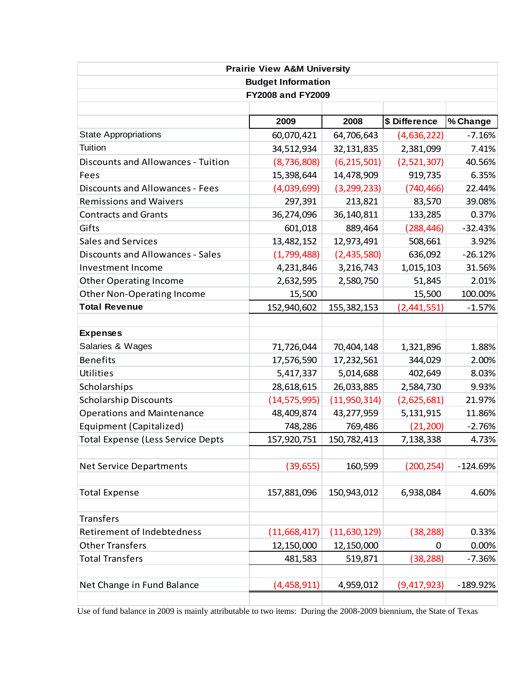| <b>Prairie View A&amp;M University</b><br><b>Budget Information</b><br><b>FY2008 and FY2009</b> |                |                |             |            |  |      |      |               |          |
|-------------------------------------------------------------------------------------------------|----------------|----------------|-------------|------------|--|------|------|---------------|----------|
|                                                                                                 |                |                |             |            |  |      |      |               |          |
|                                                                                                 |                |                |             |            |  | 2009 | 2008 | \$ Difference | % Change |
| <b>State Appropriations</b>                                                                     | 60,070,421     | 64,706,643     | (4,636,222) | $-7.16%$   |  |      |      |               |          |
| Tuition                                                                                         | 34,512,934     | 32,131,835     | 2,381,099   | 7.41%      |  |      |      |               |          |
| <b>Discounts and Allowances - Tuition</b>                                                       | (8, 736, 808)  | (6, 215, 501)  | (2,521,307) | 40.56%     |  |      |      |               |          |
| Fees                                                                                            | 15,398,644     | 14,478,909     | 919,735     | 6.35%      |  |      |      |               |          |
| <b>Discounts and Allowances - Fees</b>                                                          | (4,039,699)    | (3, 299, 233)  | (740, 466)  | 22.44%     |  |      |      |               |          |
| <b>Remissions and Waivers</b>                                                                   | 297,391        | 213,821        | 83,570      | 39.08%     |  |      |      |               |          |
| <b>Contracts and Grants</b>                                                                     | 36,274,096     | 36,140,811     | 133,285     | 0.37%      |  |      |      |               |          |
| Gifts                                                                                           | 601,018        | 889,464        | (288, 446)  | $-32.43%$  |  |      |      |               |          |
| Sales and Services                                                                              | 13,482,152     | 12,973,491     | 508,661     | 3.92%      |  |      |      |               |          |
| <b>Discounts and Allowances - Sales</b>                                                         | (1,799,488)    | (2,435,580)    | 636,092     | $-26.12%$  |  |      |      |               |          |
| <b>Investment Income</b>                                                                        | 4,231,846      | 3,216,743      | 1,015,103   | 31.56%     |  |      |      |               |          |
| <b>Other Operating Income</b>                                                                   | 2,632,595      | 2,580,750      | 51,845      | 2.01%      |  |      |      |               |          |
| Other Non-Operating Income                                                                      | 15,500         |                | 15,500      | 100.00%    |  |      |      |               |          |
| <b>Total Revenue</b>                                                                            | 152,940,602    | 155, 382, 153  | (2,441,551) | $-1.57%$   |  |      |      |               |          |
|                                                                                                 |                |                |             |            |  |      |      |               |          |
| <b>Expenses</b>                                                                                 |                |                |             |            |  |      |      |               |          |
| Salaries & Wages                                                                                | 71,726,044     | 70,404,148     | 1,321,896   | 1.88%      |  |      |      |               |          |
| <b>Benefits</b>                                                                                 | 17,576,590     | 17,232,561     | 344,029     | 2.00%      |  |      |      |               |          |
| <b>Utilities</b>                                                                                | 5,417,337      | 5,014,688      | 402,649     | 8.03%      |  |      |      |               |          |
| Scholarships                                                                                    | 28,618,615     | 26,033,885     | 2,584,730   | 9.93%      |  |      |      |               |          |
| <b>Scholarship Discounts</b>                                                                    | (14, 575, 995) | (11,950,314)   | (2,625,681) | 21.97%     |  |      |      |               |          |
| <b>Operations and Maintenance</b>                                                               | 48,409,874     | 43,277,959     | 5,131,915   | 11.86%     |  |      |      |               |          |
| Equipment (Capitalized)                                                                         | 748,286        | 769,486        | (21, 200)   | $-2.76%$   |  |      |      |               |          |
| <b>Total Expense (Less Service Depts</b>                                                        | 157,920,751    | 150,782,413    | 7,138,338   | 4.73%      |  |      |      |               |          |
|                                                                                                 |                |                |             |            |  |      |      |               |          |
| <b>Net Service Departments</b>                                                                  | (39, 655)      | 160,599        | (200, 254)  | $-124.69%$ |  |      |      |               |          |
|                                                                                                 |                |                |             |            |  |      |      |               |          |
| <b>Total Expense</b>                                                                            | 157,881,096    | 150,943,012    | 6,938,084   | 4.60%      |  |      |      |               |          |
|                                                                                                 |                |                |             |            |  |      |      |               |          |
| <b>Transfers</b>                                                                                |                |                |             |            |  |      |      |               |          |
| <b>Retirement of Indebtedness</b>                                                               | (11, 668, 417) | (11, 630, 129) | (38, 288)   | 0.33%      |  |      |      |               |          |
| <b>Other Transfers</b>                                                                          | 12,150,000     | 12,150,000     | 0           | 0.00%      |  |      |      |               |          |
| <b>Total Transfers</b>                                                                          | 481,583        | 519,871        | (38, 288)   | $-7.36%$   |  |      |      |               |          |
|                                                                                                 |                |                |             |            |  |      |      |               |          |
| Net Change in Fund Balance                                                                      | (4,458,911)    | 4,959,012      | (9,417,923) | $-189.92%$ |  |      |      |               |          |
|                                                                                                 |                |                |             |            |  |      |      |               |          |

Use of fund balance in 2009 is mainly attributable to two items: During the 2008-2009 biennium, the State of Texas